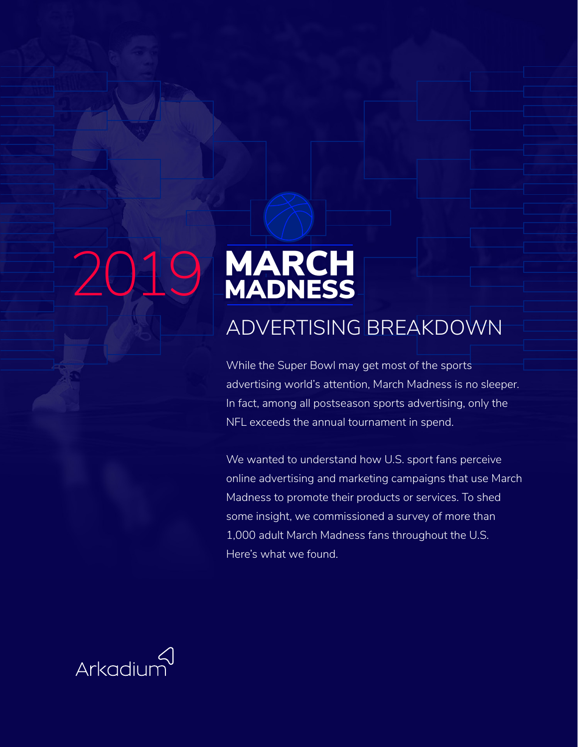# 2019 MARCH

### ADVERTISING BREAKDOWN

While the Super Bowl may get most of the sports advertising world's attention, March Madness is no sleeper. In fact, among all postseason sports advertising, only the NFL exceeds the annual tournament in spend.

We wanted to understand how U.S. sport fans perceive online advertising and marketing campaigns that use March Madness to promote their products or services. To shed some insight, we commissioned a survey of more than 1,000 adult March Madness fans throughout the U.S. Here's what we found.

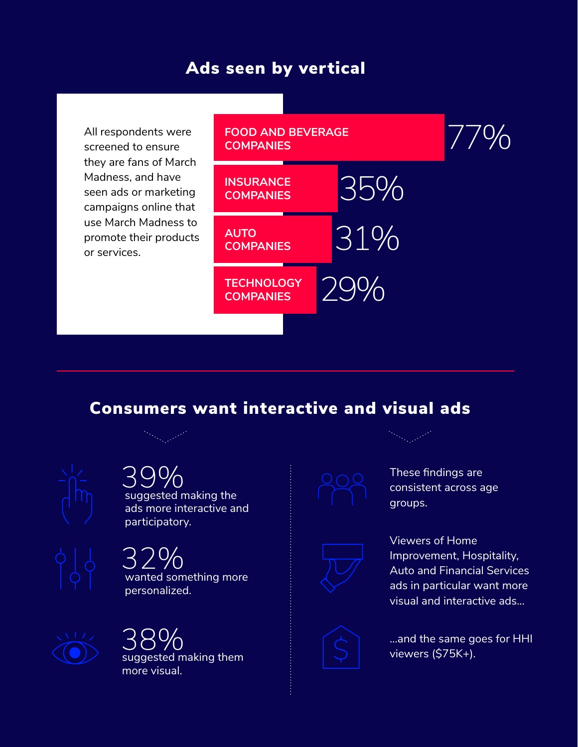### Ads seen by vertical

All respondents were screened to ensure they are fans of March Madness, and have seen ads or marketing campaigns online that use March Madness to promote their products or services.



### Consumers want interactive and visual ads



## 39%<br>suggested making the

ads more interactive and participatory.

wanted something more personalized. 32%







These findings are consistent across age groups.



Viewers of Home Improvement, Hospitality, Auto and Financial Services ads in particular want more visual and interactive ads...



...and the same goes for HHI viewers (\$75K+).